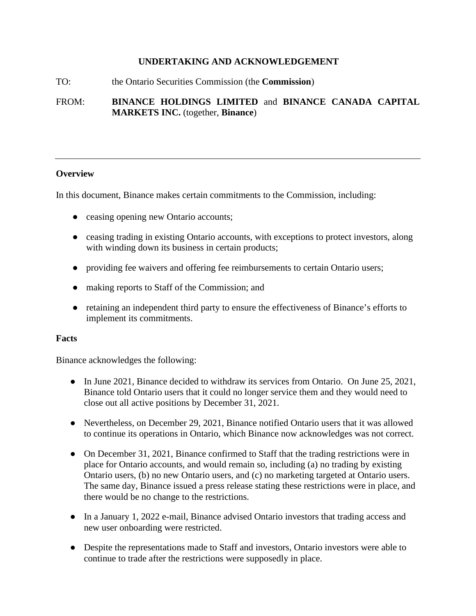### **UNDERTAKING AND ACKNOWLEDGEMENT**

#### TO: the Ontario Securities Commission (the **Commission**)

FROM: **BINANCE HOLDINGS LIMITED** and **BINANCE CANADA CAPITAL MARKETS INC.** (together, **Binance**)

#### **Overview**

In this document, Binance makes certain commitments to the Commission, including:

- ceasing opening new Ontario accounts;
- ceasing trading in existing Ontario accounts, with exceptions to protect investors, along with winding down its business in certain products;
- providing fee waivers and offering fee reimbursements to certain Ontario users;
- making reports to Staff of the Commission; and
- retaining an independent third party to ensure the effectiveness of Binance's efforts to implement its commitments.

#### **Facts**

Binance acknowledges the following:

- In June 2021, Binance decided to withdraw its services from Ontario. On June 25, 2021, Binance told Ontario users that it could no longer service them and they would need to close out all active positions by December 31, 2021.
- Nevertheless, on December 29, 2021, Binance notified Ontario users that it was allowed to continue its operations in Ontario, which Binance now acknowledges was not correct.
- On December 31, 2021, Binance confirmed to Staff that the trading restrictions were in place for Ontario accounts, and would remain so, including (a) no trading by existing Ontario users, (b) no new Ontario users, and (c) no marketing targeted at Ontario users. The same day, Binance issued a press release stating these restrictions were in place, and there would be no change to the restrictions.
- In a January 1, 2022 e-mail, Binance advised Ontario investors that trading access and new user onboarding were restricted.
- Despite the representations made to Staff and investors, Ontario investors were able to continue to trade after the restrictions were supposedly in place.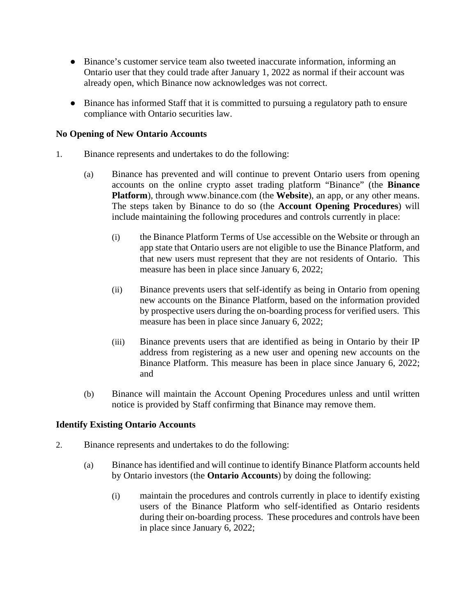- Binance's customer service team also tweeted inaccurate information, informing an Ontario user that they could trade after January 1, 2022 as normal if their account was already open, which Binance now acknowledges was not correct.
- Binance has informed Staff that it is committed to pursuing a regulatory path to ensure compliance with Ontario securities law.

### **No Opening of New Ontario Accounts**

- 1. Binance represents and undertakes to do the following:
	- (a) Binance has prevented and will continue to prevent Ontario users from opening accounts on the online crypto asset trading platform "Binance" (the **Binance Platform**), through [www.binance.com](http://www.binance.com/) (the **Website**), an app, or any other means. The steps taken by Binance to do so (the **Account Opening Procedures**) will include maintaining the following procedures and controls currently in place:
		- (i) the Binance Platform Terms of Use accessible on the Website or through an app state that Ontario users are not eligible to use the Binance Platform, and that new users must represent that they are not residents of Ontario. This measure has been in place since January 6, 2022;
		- (ii) Binance prevents users that self-identify as being in Ontario from opening new accounts on the Binance Platform, based on the information provided by prospective users during the on-boarding process for verified users. This measure has been in place since January 6, 2022;
		- (iii) Binance prevents users that are identified as being in Ontario by their IP address from registering as a new user and opening new accounts on the Binance Platform. This measure has been in place since January 6, 2022; and
	- (b) Binance will maintain the Account Opening Procedures unless and until written notice is provided by Staff confirming that Binance may remove them.

# **Identify Existing Ontario Accounts**

- 2. Binance represents and undertakes to do the following:
	- (a) Binance has identified and will continue to identify Binance Platform accounts held by Ontario investors (the **Ontario Accounts**) by doing the following:
		- (i) maintain the procedures and controls currently in place to identify existing users of the Binance Platform who self-identified as Ontario residents during their on-boarding process. These procedures and controls have been in place since January 6, 2022;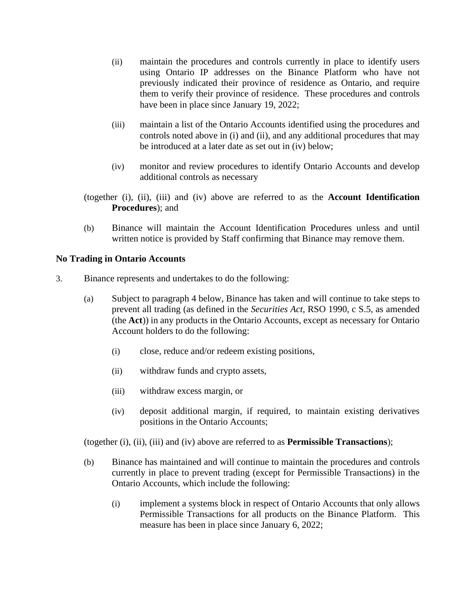- (ii) maintain the procedures and controls currently in place to identify users using Ontario IP addresses on the Binance Platform who have not previously indicated their province of residence as Ontario, and require them to verify their province of residence. These procedures and controls have been in place since January 19, 2022;
- (iii) maintain a list of the Ontario Accounts identified using the procedures and controls noted above in (i) and (ii), and any additional procedures that may be introduced at a later date as set out in (iv) below;
- (iv) monitor and review procedures to identify Ontario Accounts and develop additional controls as necessary
- (together (i), (ii), (iii) and (iv) above are referred to as the **Account Identification Procedures**); and
- (b) Binance will maintain the Account Identification Procedures unless and until written notice is provided by Staff confirming that Binance may remove them.

# **No Trading in Ontario Accounts**

- 3. Binance represents and undertakes to do the following:
	- (a) Subject to paragraph 4 below, Binance has taken and will continue to take steps to prevent all trading (as defined in the *Securities Act*, RSO 1990, c S.5, as amended (the **Act**)) in any products in the Ontario Accounts, except as necessary for Ontario Account holders to do the following:
		- (i) close, reduce and/or redeem existing positions,
		- (ii) withdraw funds and crypto assets,
		- (iii) withdraw excess margin, or
		- (iv) deposit additional margin, if required, to maintain existing derivatives positions in the Ontario Accounts;

(together (i), (ii), (iii) and (iv) above are referred to as **Permissible Transactions**);

- (b) Binance has maintained and will continue to maintain the procedures and controls currently in place to prevent trading (except for Permissible Transactions) in the Ontario Accounts, which include the following:
	- (i) implement a systems block in respect of Ontario Accounts that only allows Permissible Transactions for all products on the Binance Platform. This measure has been in place since January 6, 2022;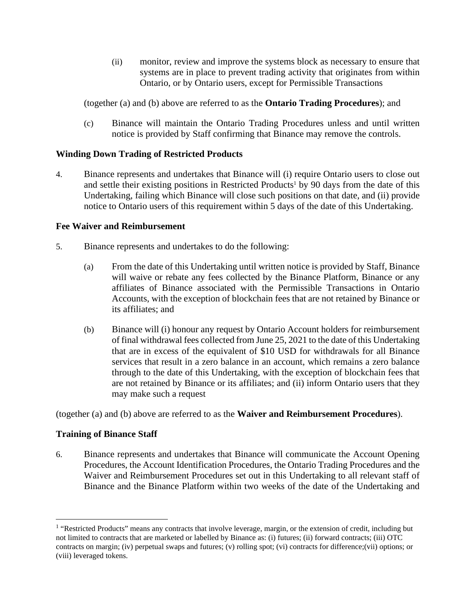(ii) monitor, review and improve the systems block as necessary to ensure that systems are in place to prevent trading activity that originates from within Ontario, or by Ontario users, except for Permissible Transactions

(together (a) and (b) above are referred to as the **Ontario Trading Procedures**); and

(c) Binance will maintain the Ontario Trading Procedures unless and until written notice is provided by Staff confirming that Binance may remove the controls.

# **Winding Down Trading of Restricted Products**

4. Binance represents and undertakes that Binance will (i) require Ontario users to close out andsettle their existing positions in Restricted Products<sup>1</sup> by 90 days from the date of this Undertaking, failing which Binance will close such positions on that date, and (ii) provide notice to Ontario users of this requirement within 5 days of the date of this Undertaking.

# **Fee Waiver and Reimbursement**

- 5. Binance represents and undertakes to do the following:
	- (a) From the date of this Undertaking until written notice is provided by Staff, Binance will waive or rebate any fees collected by the Binance Platform, Binance or any affiliates of Binance associated with the Permissible Transactions in Ontario Accounts, with the exception of blockchain fees that are not retained by Binance or its affiliates; and
	- (b) Binance will (i) honour any request by Ontario Account holders for reimbursement of final withdrawal fees collected from June 25, 2021 to the date of this Undertaking that are in excess of the equivalent of \$10 USD for withdrawals for all Binance services that result in a zero balance in an account, which remains a zero balance through to the date of this Undertaking, with the exception of blockchain fees that are not retained by Binance or its affiliates; and (ii) inform Ontario users that they may make such a request

(together (a) and (b) above are referred to as the **Waiver and Reimbursement Procedures**).

# **Training of Binance Staff**

6. Binance represents and undertakes that Binance will communicate the Account Opening Procedures, the Account Identification Procedures, the Ontario Trading Procedures and the Waiver and Reimbursement Procedures set out in this Undertaking to all relevant staff of Binance and the Binance Platform within two weeks of the date of the Undertaking and

<span id="page-3-0"></span><sup>&</sup>lt;sup>1</sup> "Restricted Products" means any contracts that involve leverage, margin, or the extension of credit, including but not limited to contracts that are marketed or labelled by Binance as: (i) futures; (ii) forward contracts; (iii) OTC contracts on margin; (iv) perpetual swaps and futures; (v) rolling spot; (vi) contracts for difference;(vii) options; or (viii) leveraged tokens.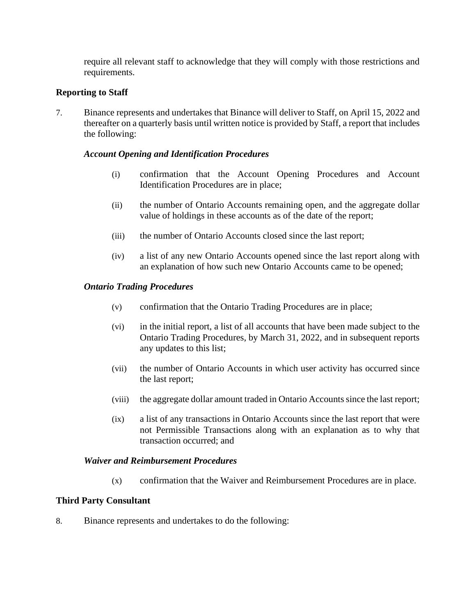require all relevant staff to acknowledge that they will comply with those restrictions and requirements.

# **Reporting to Staff**

7. Binance represents and undertakes that Binance will deliver to Staff, on April 15, 2022 and thereafter on a quarterly basis until written notice is provided by Staff, a report that includes the following:

### *Account Opening and Identification Procedures*

- (i) confirmation that the Account Opening Procedures and Account Identification Procedures are in place;
- (ii) the number of Ontario Accounts remaining open, and the aggregate dollar value of holdings in these accounts as of the date of the report;
- (iii) the number of Ontario Accounts closed since the last report;
- (iv) a list of any new Ontario Accounts opened since the last report along with an explanation of how such new Ontario Accounts came to be opened;

#### *Ontario Trading Procedures*

- (v) confirmation that the Ontario Trading Procedures are in place;
- (vi) in the initial report, a list of all accounts that have been made subject to the Ontario Trading Procedures, by March 31, 2022, and in subsequent reports any updates to this list;
- (vii) the number of Ontario Accounts in which user activity has occurred since the last report;
- (viii) the aggregate dollar amount traded in Ontario Accounts since the last report;
- (ix) a list of any transactions in Ontario Accounts since the last report that were not Permissible Transactions along with an explanation as to why that transaction occurred; and

#### *Waiver and Reimbursement Procedures*

(x) confirmation that the Waiver and Reimbursement Procedures are in place.

### **Third Party Consultant**

8. Binance represents and undertakes to do the following: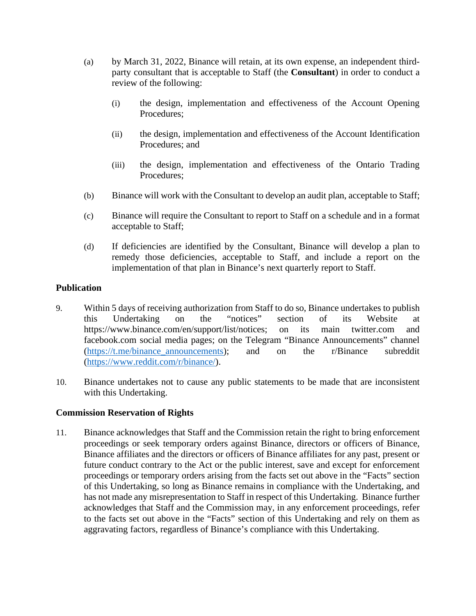- (a) by March 31, 2022, Binance will retain, at its own expense, an independent thirdparty consultant that is acceptable to Staff (the **Consultant**) in order to conduct a review of the following:
	- (i) the design, implementation and effectiveness of the Account Opening Procedures;
	- (ii) the design, implementation and effectiveness of the Account Identification Procedures; and
	- (iii) the design, implementation and effectiveness of the Ontario Trading Procedures;
- (b) Binance will work with the Consultant to develop an audit plan, acceptable to Staff;
- (c) Binance will require the Consultant to report to Staff on a schedule and in a format acceptable to Staff;
- (d) If deficiencies are identified by the Consultant, Binance will develop a plan to remedy those deficiencies, acceptable to Staff, and include a report on the implementation of that plan in Binance's next quarterly report to Staff.

# **Publication**

- 9. Within 5 days of receiving authorization from Staff to do so, Binance undertakes to publish this Undertaking on the "notices" section of its Website at https://www.binance.com/en/support/list/notices; on its main twitter.com and facebook.com social media pages; on the Telegram "Binance Announcements" channel ([https://t.me/binance\\_announcements](https://t.me/binance_announcements)); and on the r/Binance subreddit (<https://www.reddit.com/r/binance/>).
- 10. Binance undertakes not to cause any public statements to be made that are inconsistent with this Undertaking.

### **Commission Reservation of Rights**

11. Binance acknowledges that Staff and the Commission retain the right to bring enforcement proceedings or seek temporary orders against Binance, directors or officers of Binance, Binance affiliates and the directors or officers of Binance affiliates for any past, present or future conduct contrary to the Act or the public interest, save and except for enforcement proceedings or temporary orders arising from the facts set out above in the "Facts" section of this Undertaking, so long as Binance remains in compliance with the Undertaking, and has not made any misrepresentation to Staff in respect of this Undertaking. Binance further acknowledges that Staff and the Commission may, in any enforcement proceedings, refer to the facts set out above in the "Facts" section of this Undertaking and rely on them as aggravating factors, regardless of Binance's compliance with this Undertaking.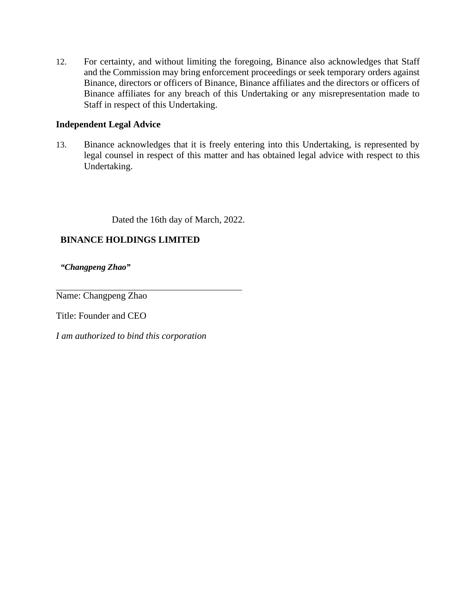12. For certainty, and without limiting the foregoing, Binance also acknowledges that Staff and the Commission may bring enforcement proceedings or seek temporary orders against Binance, directors or officers of Binance, Binance affiliates and the directors or officers of Binance affiliates for any breach of this Undertaking or any misrepresentation made to Staff in respect of this Undertaking.

# **Independent Legal Advice**

13. Binance acknowledges that it is freely entering into this Undertaking, is represented by legal counsel in respect of this matter and has obtained legal advice with respect to this Undertaking.

Dated the 16th day of March, 2022.

# **BINANCE HOLDINGS LIMITED**

*"Changpeng Zhao"* 

Name: Changpeng Zhao

Title: Founder and CEO

*I am authorized to bind this corporation*